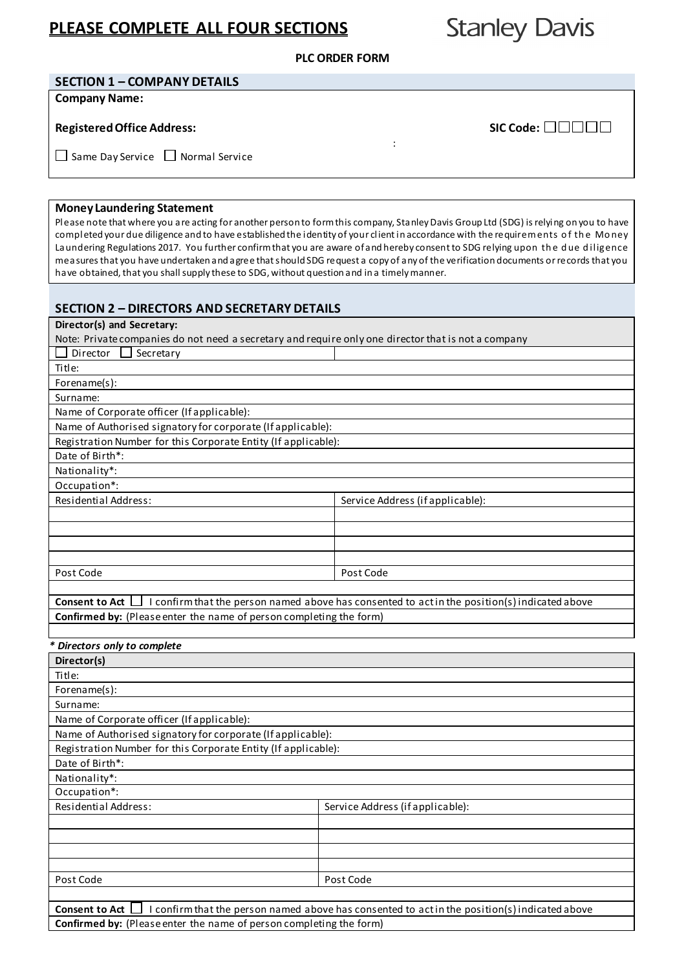# **PLEASE COMPLETE ALL FOUR SECTIONS**

**Stanley Davis** 

**PLC ORDER FORM**

#### **SECTION 1 – COMPANY DETAILS**

**Company Name:** 

### **Registered Office Address:**  $\blacksquare$   $\blacksquare$   $\blacksquare$   $\blacksquare$   $\blacksquare$   $\blacksquare$   $\blacksquare$   $\blacksquare$   $\blacksquare$   $\blacksquare$   $\blacksquare$   $\blacksquare$   $\blacksquare$   $\blacksquare$   $\blacksquare$   $\blacksquare$   $\blacksquare$   $\blacksquare$   $\blacksquare$   $\blacksquare$   $\blacksquare$   $\blacksquare$   $\blacksquare$   $\blacksquare$   $\blacksquare$   $\blacksquare$   $\blacksquare$   $\bl$

:  $\Box$  Same Day Service  $\Box$  Normal Service

### **Money Laundering Statement**

Please note that where you are acting for another person to form this company, Stanley Davis Group Ltd (SDG) is relying on you to have completed your due diligence and to have established the identity of your client in accordance with the requirem ents o f th e Money Laundering Regulations 2017. You further confirm that you are aware of and hereby consent to SDG relying upon the due diligence measures that you have undertaken and agree that should SDG request a copy of any of the verification documents or records that you have obtained, that you shall supply these to SDG, without question and in a timely manner.

### **SECTION 2 – DIRECTORS AND SECRETARY DETAILS**

# **Director(s) and Secretary:** Note: Privatecompanies do not need a secretary and require only one director that is not a company  $\Box$  Director  $\Box$  Secretary Title: Forename(s): Surname: Name of Corporate officer (If applicable): Name of Authorised signatory for corporate (If applicable): Registration Number for this Corporate Entity (If applicable): Date of Birth\*: Nationality\*: Occupation\*: Residential Address: Service Address (if applicable): Post Code Post Code Post Code

**Consent to Act**  $\Box$  I confirm that the person named above has consented to act in the position(s) indicated above **Confirmed by:** (Please enter the name of person completing the form)

#### *\* Directors only to complete*

| Director(s)                                                                                                       |                                  |  |  |  |
|-------------------------------------------------------------------------------------------------------------------|----------------------------------|--|--|--|
| Title:                                                                                                            |                                  |  |  |  |
| Forename $(s)$ :                                                                                                  |                                  |  |  |  |
| Surname:                                                                                                          |                                  |  |  |  |
| Name of Corporate officer (If applicable):                                                                        |                                  |  |  |  |
| Name of Authorised signatory for corporate (If applicable):                                                       |                                  |  |  |  |
| Registration Number for this Corporate Entity (If applicable):                                                    |                                  |  |  |  |
| Date of Birth*:                                                                                                   |                                  |  |  |  |
| Nationality*:                                                                                                     |                                  |  |  |  |
| Occupation*:                                                                                                      |                                  |  |  |  |
| Residential Address:                                                                                              | Service Address (if applicable): |  |  |  |
|                                                                                                                   |                                  |  |  |  |
|                                                                                                                   |                                  |  |  |  |
|                                                                                                                   |                                  |  |  |  |
|                                                                                                                   |                                  |  |  |  |
| Post Code                                                                                                         | Post Code                        |  |  |  |
|                                                                                                                   |                                  |  |  |  |
| Consent to Act  <br>I confirm that the person named above has consented to act in the position(s) indicated above |                                  |  |  |  |
| <b>Confirmed by:</b> (Please enter the name of person completing the form)                                        |                                  |  |  |  |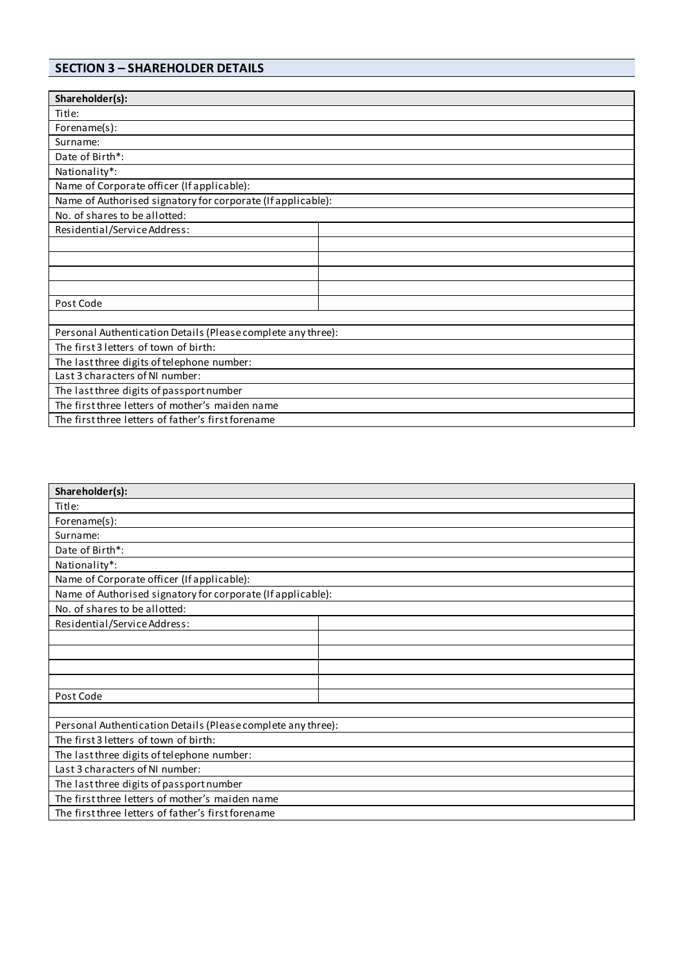## **SECTION 3 – SHAREHOLDER DETAILS**

| Shareholder(s):                                              |  |  |  |  |
|--------------------------------------------------------------|--|--|--|--|
| Title:                                                       |  |  |  |  |
| Forename(s):                                                 |  |  |  |  |
| Surname:                                                     |  |  |  |  |
| Date of Birth*:                                              |  |  |  |  |
| Nationality*:                                                |  |  |  |  |
| Name of Corporate officer (If applicable):                   |  |  |  |  |
| Name of Authorised signatory for corporate (If applicable):  |  |  |  |  |
| No. of shares to be allotted:                                |  |  |  |  |
| Residential/Service Address:                                 |  |  |  |  |
|                                                              |  |  |  |  |
|                                                              |  |  |  |  |
|                                                              |  |  |  |  |
|                                                              |  |  |  |  |
| Post Code                                                    |  |  |  |  |
|                                                              |  |  |  |  |
| Personal Authentication Details (Please complete any three): |  |  |  |  |
| The first 3 letters of town of birth:                        |  |  |  |  |
| The last three digits of telephone number:                   |  |  |  |  |
| Last 3 characters of NI number:                              |  |  |  |  |
| The last three digits of passport number                     |  |  |  |  |
| The first three letters of mother's maiden name              |  |  |  |  |
| The first three letters of father's first forename           |  |  |  |  |

| Shareholder(s):                                              |  |  |  |  |
|--------------------------------------------------------------|--|--|--|--|
| Title:                                                       |  |  |  |  |
| Forename(s):                                                 |  |  |  |  |
| Surname:                                                     |  |  |  |  |
| Date of Birth*:                                              |  |  |  |  |
| Nationality*:                                                |  |  |  |  |
| Name of Corporate officer (If applicable):                   |  |  |  |  |
| Name of Authorised signatory for corporate (If applicable):  |  |  |  |  |
| No. of shares to be allotted:                                |  |  |  |  |
| Residential/Service Address:                                 |  |  |  |  |
|                                                              |  |  |  |  |
|                                                              |  |  |  |  |
|                                                              |  |  |  |  |
|                                                              |  |  |  |  |
| Post Code                                                    |  |  |  |  |
|                                                              |  |  |  |  |
| Personal Authentication Details (Please complete any three): |  |  |  |  |
| The first 3 letters of town of birth:                        |  |  |  |  |
| The last three digits of telephone number:                   |  |  |  |  |
| Last 3 characters of NI number:                              |  |  |  |  |
| The last three digits of passport number                     |  |  |  |  |
| The first three letters of mother's maiden name              |  |  |  |  |
| The first three letters of father's first forename           |  |  |  |  |